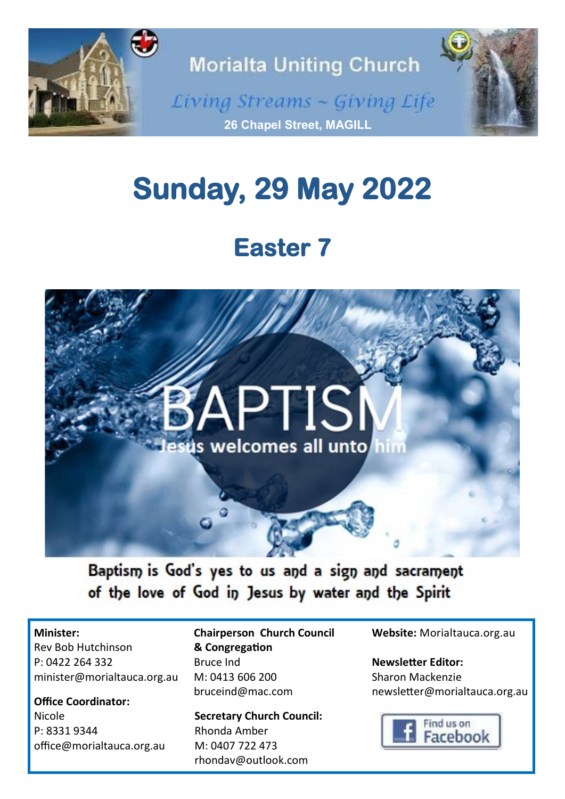

# **Sunday, 29 May 2022**

# **Easter 7**



Baptism is God's yes to us and a sign and sacrament of the love of God in Jesus by water and the Spirit

#### **Minister:**

Rev Bob Hutchinson P: 0422 264 332 minister@morialtauca.org.au

**Office Coordinator:** Nicole P: 8331 9344 office@morialtauca.org.au **Chairperson Church Council & Congregation** Bruce Ind M: 0413 606 200 [bruceind@mac.com](mailto:christine.secombe@bigpond.com)

**Secretary Church Council:** Rhonda Amber M: 0407 722 473 [rhondav@outlook.com](mailto:christine.secombe@bigpond.com)

**Website:** Morialtauca.org.au

**Newsletter Editor:** Sharon Mackenzie newsletter@morialtauca.org.au

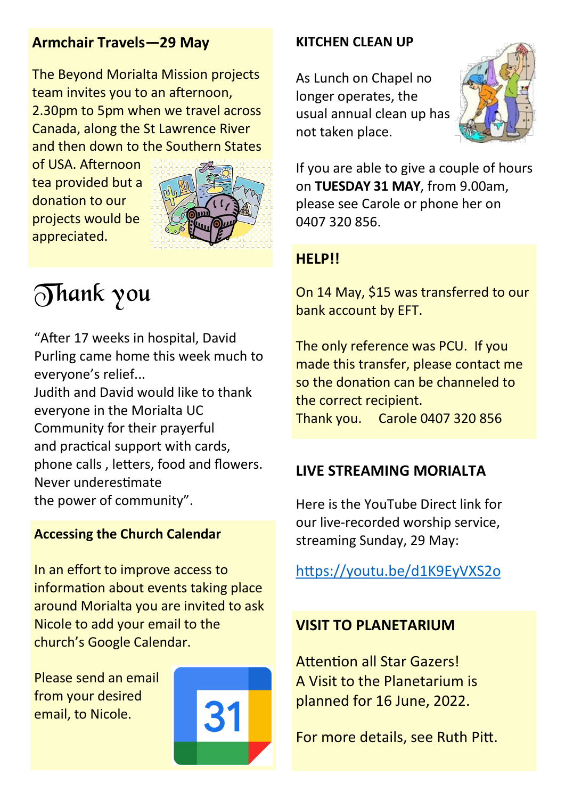#### **Armchair Travels—29 May**

The Beyond Morialta Mission projects team invites you to an afternoon, 2.30pm to 5pm when we travel across Canada, along the St Lawrence River and then down to the Southern States

of USA. Afternoon tea provided but a donation to our projects would be appreciated.



Thank you

"After 17 weeks in hospital, David Purling came home this week much to everyone's relief... Judith and David would like to thank everyone in the Morialta UC Community for their prayerful and practical support with cards, phone calls , letters, food and flowers. Never underestimate the power of community".

#### **Accessing the Church Calendar**

In an effort to improve access to information about events taking place around Morialta you are invited to ask Nicole to add your email to the church's Google Calendar.

Please send an email from your desired email, to Nicole.



#### **KITCHEN CLEAN UP**

As Lunch on Chapel no longer operates, the usual annual clean up has not taken place.



If you are able to give a couple of hours on **TUESDAY 31 MAY**, from 9.00am, please see Carole or phone her on 0407 320 856.

#### **HELP!!**

On 14 May, \$15 was transferred to our bank account by EFT.

The only reference was PCU. If you made this transfer, please contact me so the donation can be channeled to the correct recipient. Thank you. Carole 0407 320 856

#### **LIVE STREAMING MORIALTA**

Here is the YouTube Direct link for our live-recorded worship service, streaming Sunday, 29 May:

https://youtu.be/d1K9EyVXS2o

#### **VISIT TO PLANETARIUM**

Attention all Star Gazers! A Visit to the Planetarium is planned for 16 June, 2022.

For more details, see Ruth Pitt.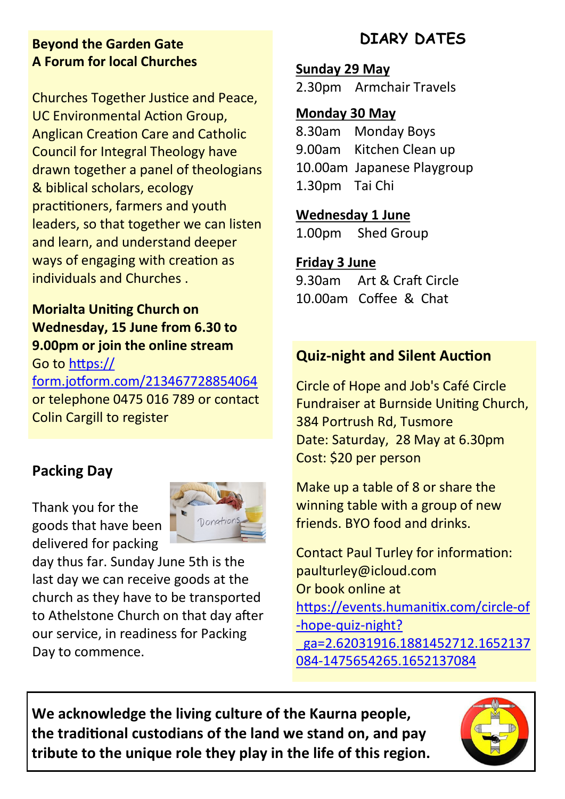#### **Beyond the Garden Gate A Forum for local Churches**

Churches Together Justice and Peace, UC Environmental Action Group, Anglican Creation Care and Catholic Council for Integral Theology have drawn together a panel of theologians & biblical scholars, ecology practitioners, farmers and youth leaders, so that together we can listen and learn, and understand deeper ways of engaging with creation as individuals and Churches .

#### **Morialta Uniting Church on Wednesday, 15 June from 6.30 to 9.00pm or join the online stream** Go to [https://](https://form.jotform.com/213467728854064)

[form.jotform.com/213467728854064](https://form.jotform.com/213467728854064) or telephone 0475 016 789 or contact Colin Cargill to register

### **Packing Day**

Thank you for the goods that have been delivered for packing



day thus far. Sunday June 5th is the last day we can receive goods at the church as they have to be transported to Athelstone Church on that day after our service, in readiness for Packing Day to commence.

## **DIARY DATES**

**Sunday 29 May** 

2.30pm Armchair Travels

#### **Monday 30 May**

8.30am Monday Boys 9.00am Kitchen Clean up 10.00am Japanese Playgroup 1.30pm Tai Chi

#### **Wednesday 1 June**

1.00pm Shed Group

#### **Friday 3 June**

9.30am Art & Craft Circle 10.00am Coffee & Chat

### **Quiz-night and Silent Auction**

Circle of Hope and Job's Café Circle Fundraiser at Burnside Uniting Church, 384 Portrush Rd, Tusmore Date: Saturday, 28 May at 6.30pm Cost: \$20 per person

Make up a table of 8 or share the winning table with a group of new friends. BYO food and drinks.

Contact Paul Turley for information: paulturley@icloud.com Or book online at [https://events.humanitix.com/circle](https://events.humanitix.com/circle-of-hope-quiz-night?_ga=2.62031916.1881452712.1652137084-1475654265.1652137084)-of -hope-quiz-[night?](https://events.humanitix.com/circle-of-hope-quiz-night?_ga=2.62031916.1881452712.1652137084-1475654265.1652137084) [\\_ga=2.62031916.1881452712.1652137](https://events.humanitix.com/circle-of-hope-quiz-night?_ga=2.62031916.1881452712.1652137084-1475654265.1652137084) 084-[1475654265.1652137084](https://events.humanitix.com/circle-of-hope-quiz-night?_ga=2.62031916.1881452712.1652137084-1475654265.1652137084)

**We acknowledge the living culture of the Kaurna people, the traditional custodians of the land we stand on, and pay tribute to the unique role they play in the life of this region.**